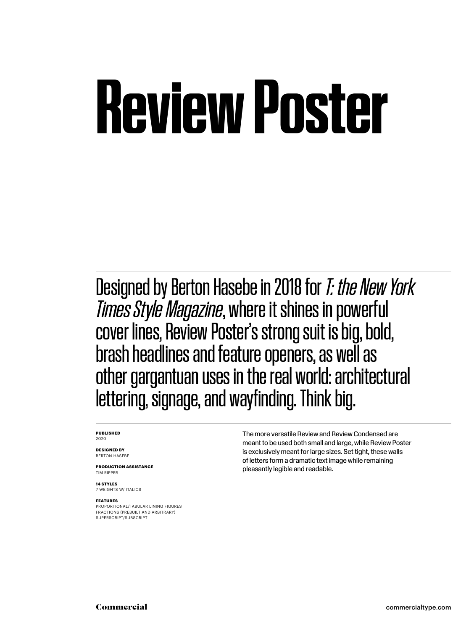## **Review Poster**

Designed by Berton Hasebe in 2018 for *T: the New York Times Style Magazine*, where it shines in powerful cover lines, Review Poster's strong suit is big, bold, brash headlines and feature openers, as well as other gargantuan uses in the real world: architectural lettering, signage, and wayfinding. Think big.

#### **PUBLISHED** 2020

**DESIGNED BY** BERTON HASEBE

**PRODUCTION ASSISTANCE** TIM RIPPER

**14 STYLES** 7 WEIGHTS W/ ITALICS

#### **FEATURES**

PROPORTIONAL/TABULAR LINING FIGURES FRACTIONS (PREBUILT AND ARBITRARY) SUPERSCRIPT/SUBSCRIPT

The more versatile Review and Review Condensed are meant to be used both small and large, while Review Poster is exclusively meant for large sizes. Set tight, these walls of letters form a dramatic text image while remaining pleasantly legible and readable.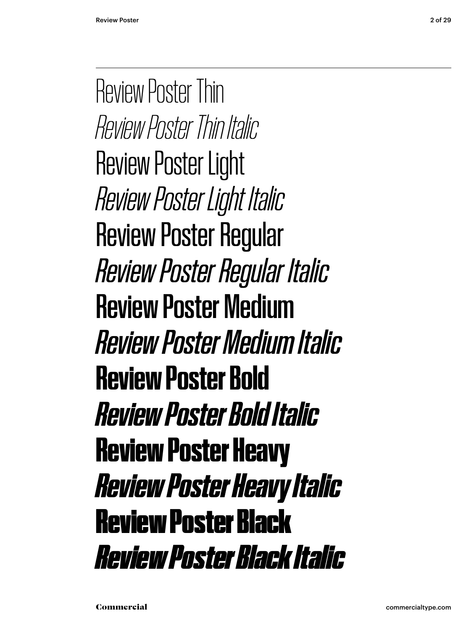Review Poster Thin *Review Poster Thin Italic* Review Poster Light *Review Poster Light Italic* Review Poster Regular *Review Poster Regular Italic* Review Poster Medium *Review Poster Medium Italic* **Review Poster Bold** *Review Poster Bold Italic* Review Poster Heavy *Review Poster Heavy Italic* Review Poster Black *Review Poster Black Italic*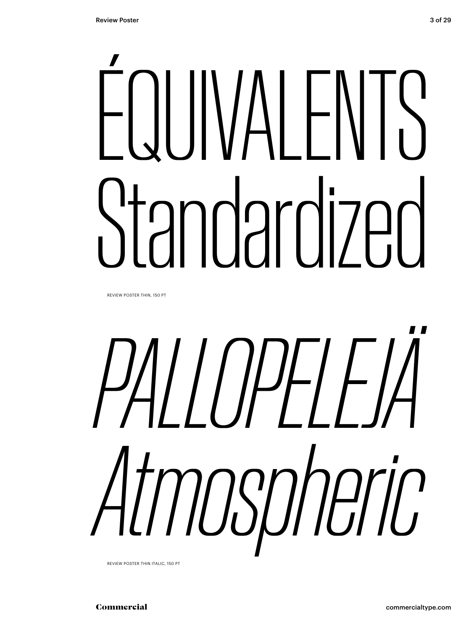# LINALENTS ndardized

REVIEW POSTER THIN, 150 PT

*PALLOPELEJÄ Atmospheric*

REVIEW POSTER THIN ITALIC, 150 PT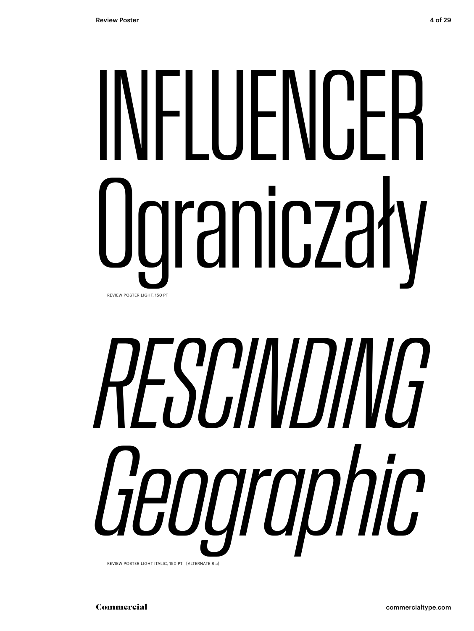# INFLUENCER Ograniczały REVIEW POSTER LIGHT, 150 PT

# *RESCINDING Geographic*

REVIEW POSTER LIGHT ITALIC, 150 PT [ALTERNATE R a]

Commercial commercialtype.com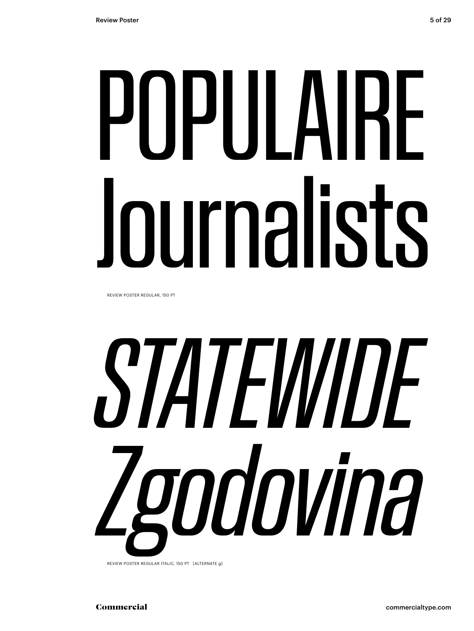# POPULAIRE Journalists

REVIEW POSTER REGULAR, 150 PT

# *STATEWIDE Zgodovina*

REVIEW POSTER REGULAR ITALIC, 150 PT [ALTERNATE g]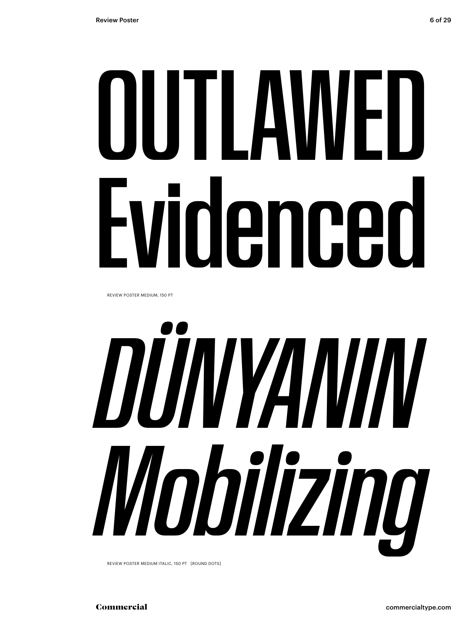# OUTLAWED Evidenced

REVIEW POSTER MEDIUM, 150 PT



REVIEW POSTER MEDIUM ITALIC, 150 PT [ROUND DOTS]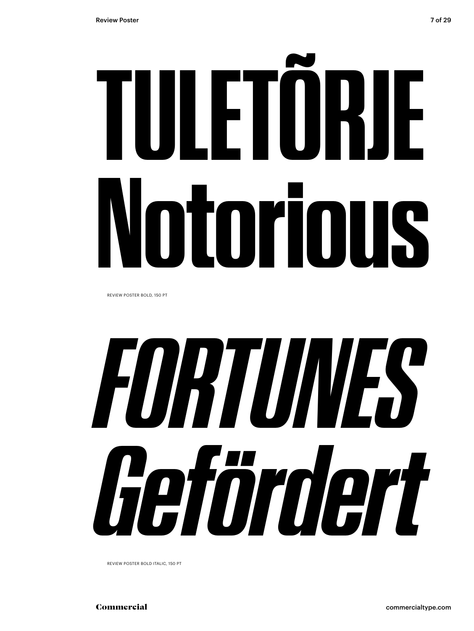# **TULETÕRJE Notorious**

REVIEW POSTER BOLD, 150 PT



REVIEW POSTER BOLD ITALIC, 150 PT

Commercial commercialtype.com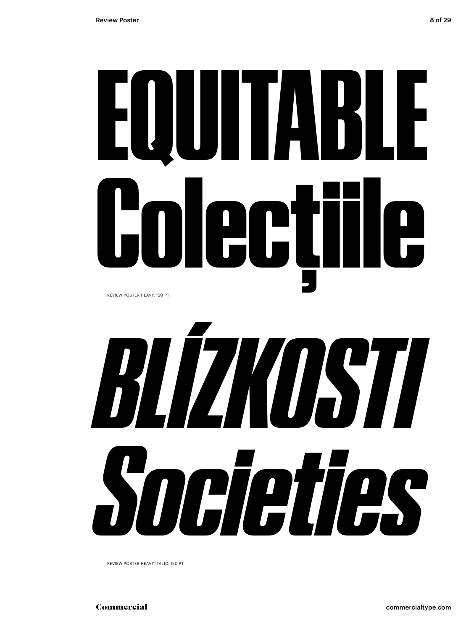# EQUITABLE Colecțiile

REVIEW POSTER HEAVY, 150 PT



REVIEW POSTER HEAVY ITALIC, 150 PT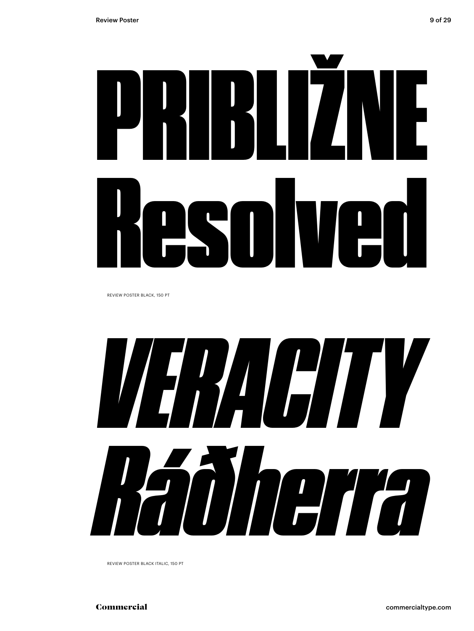

REVIEW POSTER BLACK, 150 PT



REVIEW POSTER BLACK ITALIC, 150 PT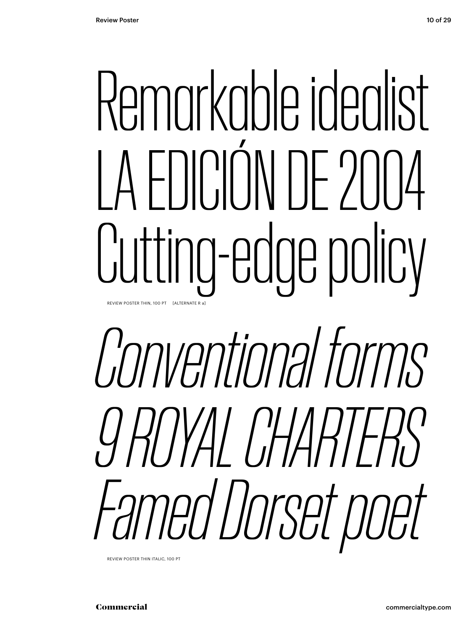## Remarkable idealist LA FOICIÓN DE 2004 Cutting-edge policy REVIEW POSTER THIN, 100 PT [ALTERNATE R a]

## *Conventional forms 9 ROYAL CHARTERS Famed Dorset poet*

REVIEW POSTER THIN ITALIC, 100 PT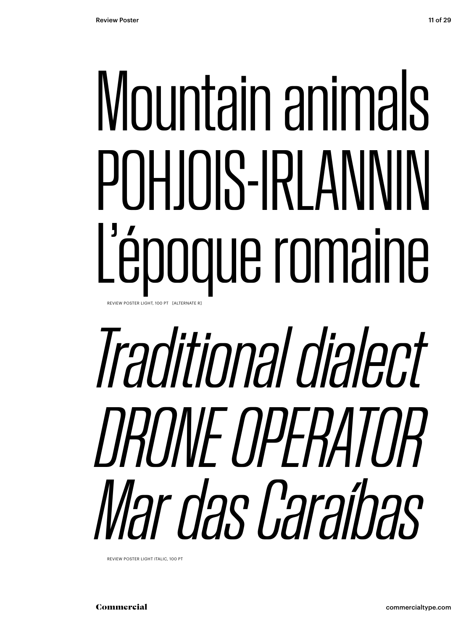## Mountain animals POHJOIS-IRLANNIN L'époque romaine REVIEW POSTER LIGHT, 100 PT [ALTERNATE F

## *Traditional dialect DRONE OPERATOR Mar das Caraíbas*

REVIEW POSTER LIGHT ITALIC, 100 PT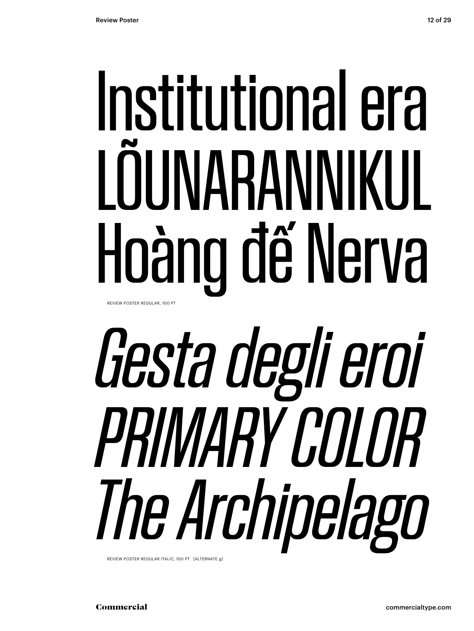## Institutional era LOUNARANNIKUL Hoàng đế Nerva REVIEW POSTER REGULAR, 100 PT

# *Gesta degli eroi PRIMARY COLOR The Archipelago*

REVIEW POSTER REGULAR ITALIC, 100 PT [ALTERNATE g]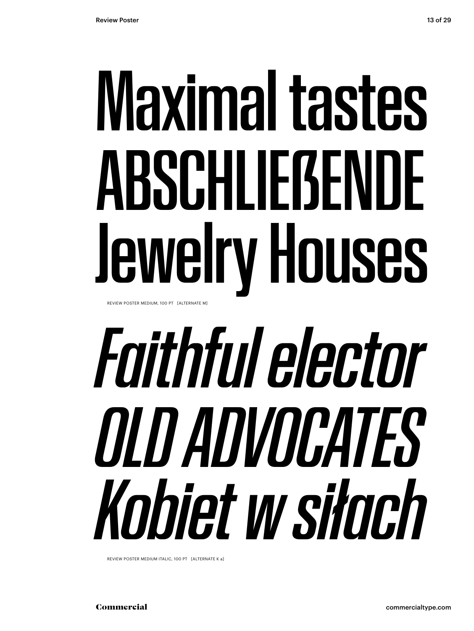## Maximal tastes ABSCHLIEẞENDE Jewelry Houses REVIEW POSTER MEDIUM, 100 PT [ALTERNATE M]

## *Faithful elector OLD ADVOCATES Kobiet w siłach*

REVIEW POSTER MEDIUM ITALIC, 100 PT [ALTERNATE K a]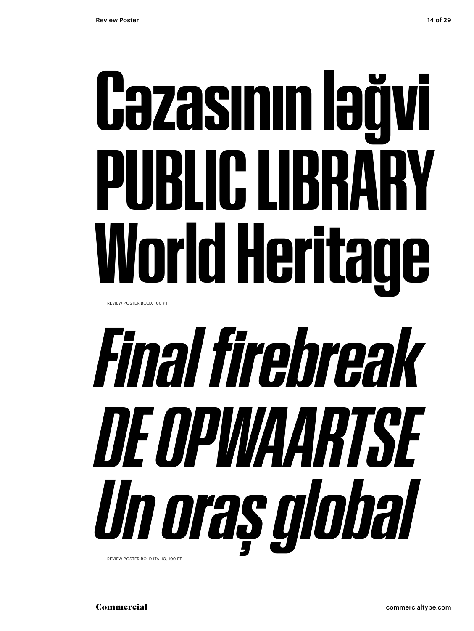# **Cəzasının ləğvi PUBLIC LIBRARY World Heritage**

REVIEW POSTER BOLD, 100 PT

## *Final firebreak DE OPWAARTSE Un oraș global* REVIEW POSTER BOLD ITALIC, 100 PT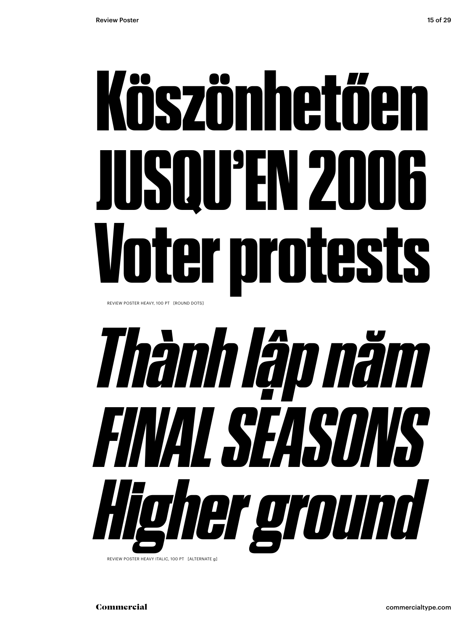## Köszönhetően JUSQU'EN 2006 Voter protests

REVIEW POSTER HEAVY, 100 PT [ROUND DOTS]

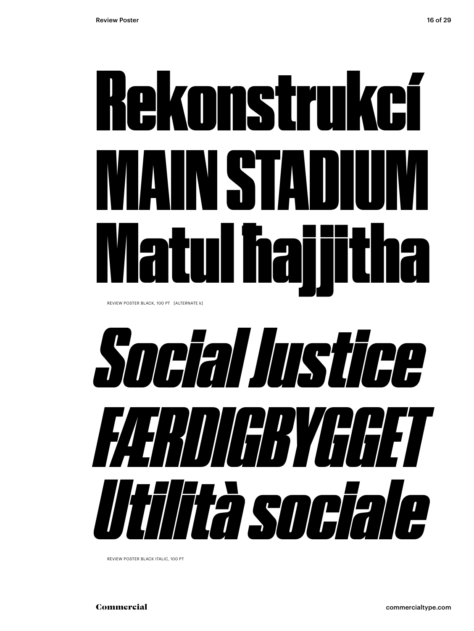## Rekonstrukcí MAIN STADIUM Matul ħajjitha

REVIEW POSTER BLACK, 100 PT [ALTERNATE k]



REVIEW POSTER BLACK ITALIC, 100 PT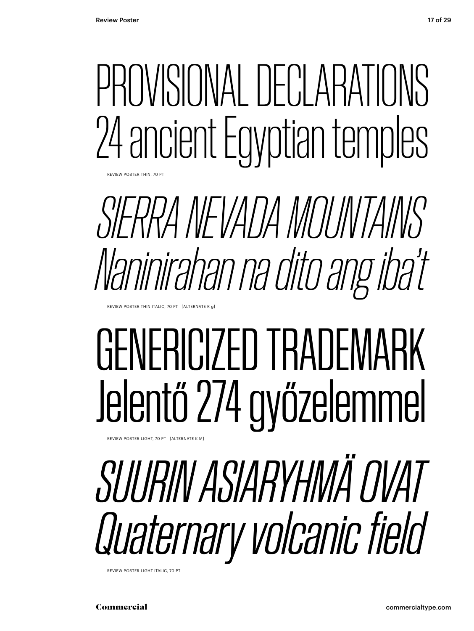## PROVISIONAL DECLARATIONS 24 ancient Egyptian temples

REVIEW POSTER THIN, 70 P

*SIERRA NEVADA MOUNTAINS Naninirahan na dito ang iba't*

REVIEW POSTER THIN ITALIC, 70 PT [ALTERNATE R g]

### GENERICIZED TRADEMARK Jelentő 274 győzelemmel

REVIEW POSTER LIGHT, 70 PT [ALTERNATE K M]

## *SUURIN ASIARYHMÄ OVAT Quaternary volcanic field*

REVIEW POSTER LIGHT ITALIC, 70 PT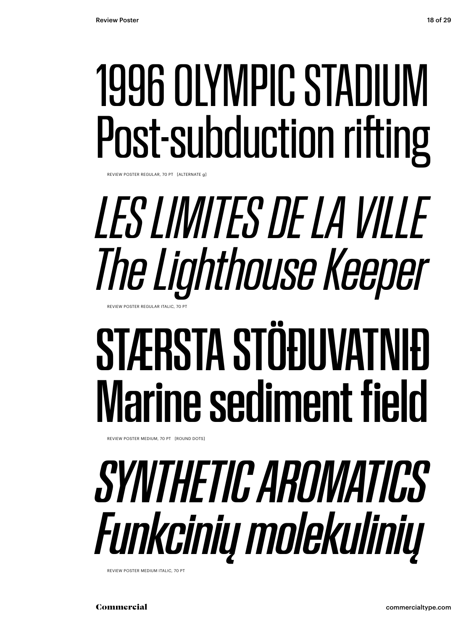### 1996 OLYMPIC STADIUM Post-subduction rifting

REVIEW POSTER REGULAR, 70 PT [ALTERNATE g]

#### *LES LIMITES DE LA VILLE The Lighthouse Keeper* REVIEW POSTER REGULAR ITALIC, 70 PT

### STÆRSTA STÖÐUVATNIÐ Marine sediment field

REVIEW POSTER MEDIUM, 70 PT [ROUND DOTS]

### *SYNTHETIC AROMATICS Funkcinių molekulinių*

REVIEW POSTER MEDIUM ITALIC, 70 PT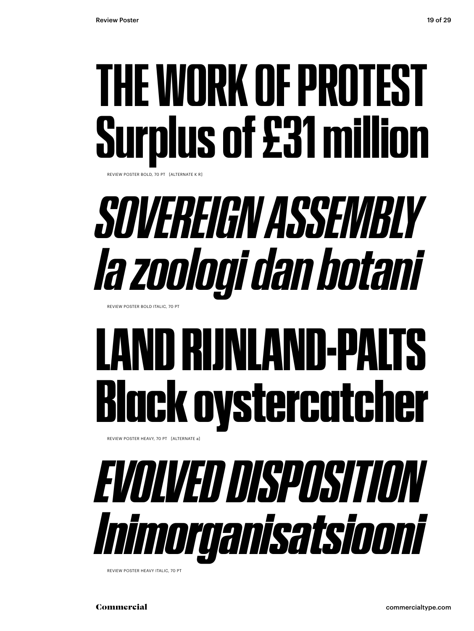### **THE WORK OF PROTEST Surplus of £31 million**

REVIEW POSTER BOLD, 70 PT [ALTERNATE K R]

### *SOVEREIGN ASSEMBLY Ia zoologi dan botani*

REVIEW POSTER BOLD ITALIC, 70 PT

### LAND RIJNLAND-PALTS Black oystercatcher

REVIEW POSTER HEAVY, 70 PT [ALTERNATE a]



REVIEW POSTER HEAVY ITALIC, 70 PT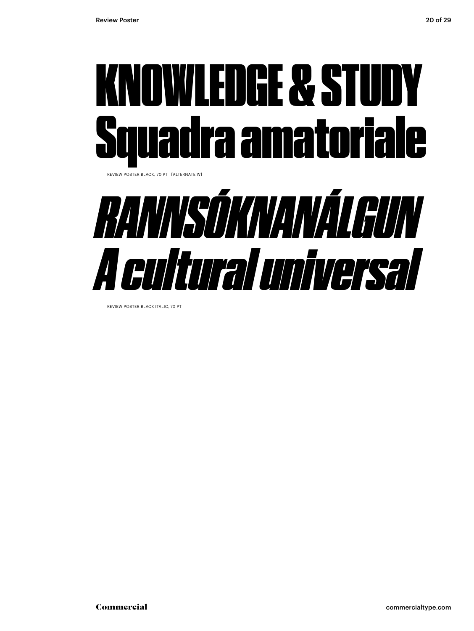



REVIEW POSTER BLACK ITALIC, 70 PT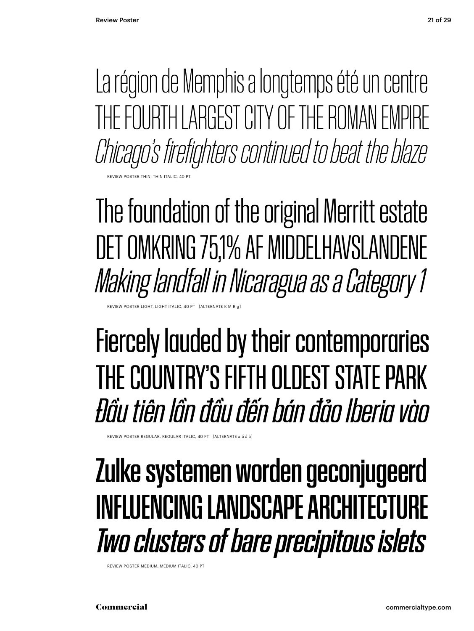La région de Memphis a longtemps été un centre THE FOURTH LARGEST CITY OF THE ROMAN EMPIRE *Chicago's firefighters continued to beat the blaze*

**POSTER THIN, THIN ITALIC** 

The foundation of the original Merritt estate DET OMKRING 75,1% AF MIDDELHAVSLANDENE *Making landfall in Nicaragua as a Category 1*

EVIEW POSTER LIGHT, LIGHT ITALIC, 40 PT [ALTERNATE K M

#### Fiercely lauded by their contemporaries THE COUNTRY'S FIFTH OLDEST STATE PARK *Đầu tiên lần đầu đến bán đảo Iberia vào*

REVIEW POSTER REGULAR, REGULAR ITALIC, 40 PT [ALTERNATE a ẩ å à]

#### Zulke systemen worden geconjugeerd INFLUENCING LANDSCAPE ARCHITECTURE *Two clusters of bare precipitous islets*

REVIEW POSTER MEDIUM, MEDIUM ITALIC, 40 PT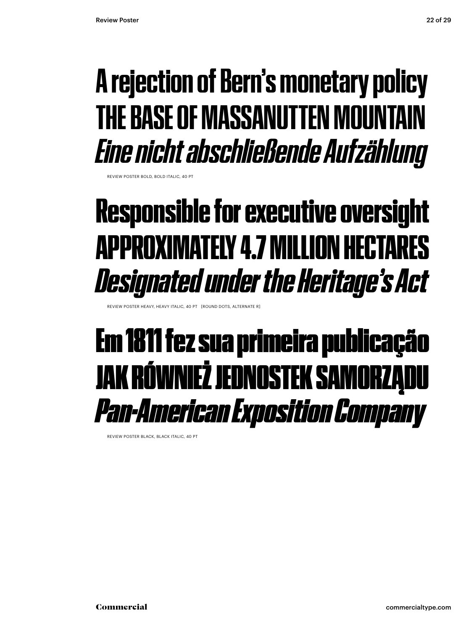#### **A rejection of Bern's monetary policy THE BASE OF MASSANUTTEN MOUNTAIN** *Eine nicht abschließende Aufzählung*

REVIEW POSTER BOLD, BOLD ITALIC, 40 PT

#### Responsible for executive oversight APPROXIMATELY 4.7 MILLION HECTARES *Designated under the Heritage's Act*

REVIEW POSTER HEAVY, HEAVY ITALIC, 40 PT [ROUND DOTS, ALTERNATE R]

#### Em 1811 fez sua primeira publicação JAK RÓWNIEŻ JEDNOSTEK SAMORZĄDU *Pan-American Exposition Company*

REVIEW POSTER BLACK, BLACK ITALIC, 40 PT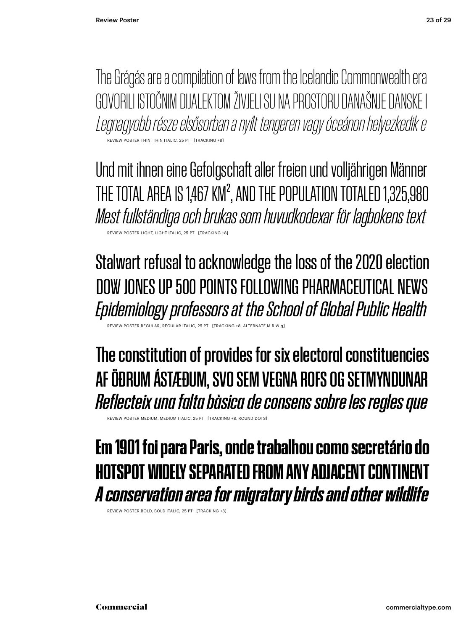The Grágás are a compilation of laws from the Icelandic Commonwealth era GOVORILI ISTOČNIM DIJALEKTOM ŽIVJELI SU NA PROSTORU DANAŠNJE DANSKE I *Legnagyobb része elsősorban a nyílt tengeren vagy óceánon helyezkedik e* REVIEW POSTER THIN, THIN ITALIC, 25 PT

Und mit ihnen eine Gefolgschaft aller freien und volljährigen Männer THE TOTAL AREA IS 1,467 KM<sup>2</sup>, AND THE POPULATION TOTALED 1,325,980 *Mest fullständiga och brukas som huvudkodexar för lagbokens text* REVIEW POSTER LIGHT, LIGHT ITALIC, 25 PT [TRACKING +8]

Stalwart refusal to acknowledge the loss of the 2020 election DOW JONES UP 500 POINTS FOLLOWING PHARMACEUTICAL NEWS *Epidemiology professors at the School of Global Public Health*

**REGULAR REGULAR ITA** 

The constitution of provides for six electoral constituencies AF ÖÐRUM ÁSTÆÐUM, SVO SEM VEGNA ROFS OG SETMYNDUNAR *Reflecteix una falta bàsica de consens sobre les regles que*

REVIEW POSTER MEDIUM, MEDIUM ITALIC, 25 PT [TRACKING +8, ROUND DOTS]

#### **Em 1901 foi para Paris, onde trabalhou como secretário do HOTSPOT WIDELY SEPARATED FROM ANY ADJACENT CONT** *A conservation area for migratory birds and other wildlife*

REVIEW POSTER BOLD, BOLD ITALIC, 25 PT [TRACKING +8]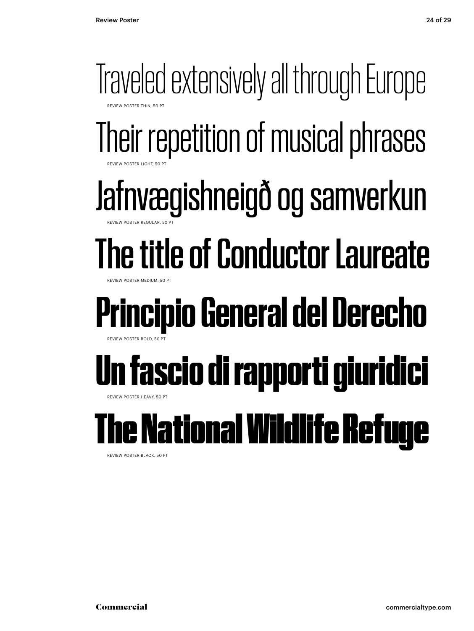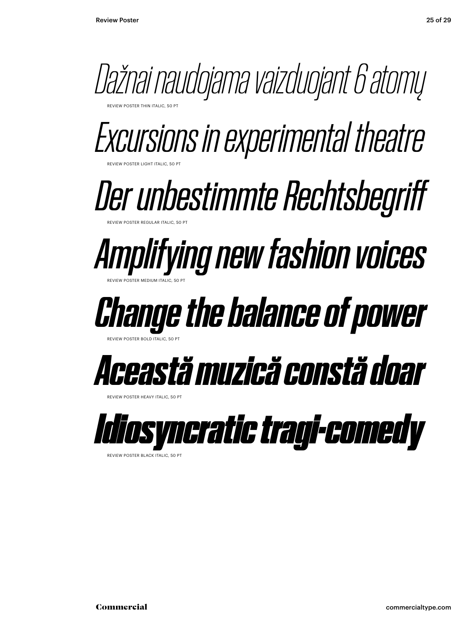

*Excursions in experimental theatre*

*Der unbestimmte Rechtsbegriff* REVIEW POSTER REGULAR ITALIC, 50 PT

*Amplifying new fashion voices* REVIEW POSTER MEDIUM ITALIC, 50 PT

#### *Change the balance of power*

REVIEW POSTER BOLD ITALIC, 50 PT

REVIEW POSTER LIGHT ITALIC, 50 PT



**REVIEW POSTER HEAVY ITALIC, 50 PT** 



REVIEW POSTER BLACK ITALIC, 50 PT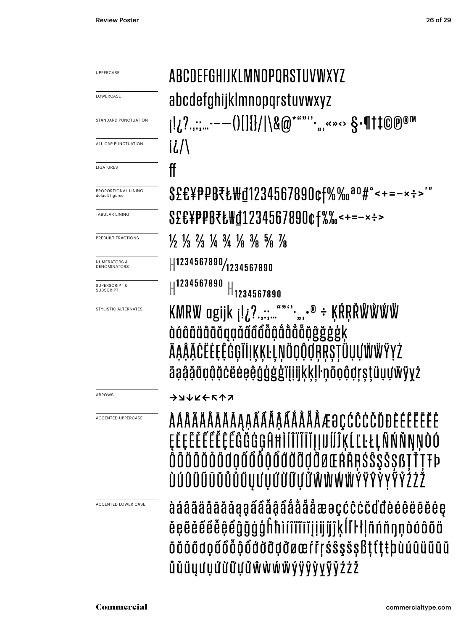| UPPERCASE                                      | ABCDEFGHIJKLMNOPQRSTUVWXYZ                                                                                                                                                                          |
|------------------------------------------------|-----------------------------------------------------------------------------------------------------------------------------------------------------------------------------------------------------|
|                                                |                                                                                                                                                                                                     |
| LOWERCASE                                      | abcdefghijklmnopqrstuvwxyz                                                                                                                                                                          |
| STANDARD PUNCTUATION                           |                                                                                                                                                                                                     |
| ALL CAP PUNCTUATION                            | İ¿/\                                                                                                                                                                                                |
| LIGATURES                                      | ff                                                                                                                                                                                                  |
| PROPORTIONAL LINING<br>default figures         | \$£€¥₱₽₿₹₺₩₫1234567890¢f%‰ªº#°<+=-×÷>'                                                                                                                                                              |
| <b>TABULAR LINING</b>                          | \$£€¥P₽B₹Ł₩₫1234567890¢f%‰<+=-×÷>                                                                                                                                                                   |
| PREBUILT FRACTIONS                             | $\frac{1}{2}$ $\frac{1}{3}$ $\frac{2}{3}$ $\frac{1}{4}$ $\frac{3}{4}$ $\frac{1}{8}$ $\frac{3}{8}$ $\frac{5}{8}$ $\frac{7}{8}$                                                                       |
| <b>NUMERATORS &amp;</b><br><b>DENOMINATORS</b> | 1234567890/1234567890                                                                                                                                                                               |
| <b>SUPERSCRIPT &amp;</b><br><b>SUBSCRIPT</b>   | H <sup>1234567890</sup><br>$H_{1234567890}$                                                                                                                                                         |
| STYLISTIC ALTERNATES                           | KMRW agijk ¡!¿?.,:;"""".",.® ÷ ĶŔŖŘŴŴŴŴ<br>dáâäääääqąåãååååååååäääää<br>ÄĄĄ̃ĂĊËĖĘÊĠĢĨİĮĶĶĿĻŅÖQQQŖŖŞŢÜŲŲŴŴŸYŻ<br>äąą̃ą̃öo õčeeeeo da gijijkkll nooõorstüuuwyyz                                       |
| <b>ARROWS</b>                                  | <b>ラフナドチビック</b>                                                                                                                                                                                     |
| <b>ACCENTED UPPERCASE</b>                      | <i><b>AÁÂÄÄÄĀĀĂAĄĄÁÂÂÂAÅÅĂÅÆ@ÇĆĈĊČĎĐÈÉÊËĒĒĖ</b></i><br>ĘĔĘĔĔĔĔĔĔĔĜĞĠĠĢĤĦĬſĨĨĨĬĬĮIJIJĨĨĶĹĽĿŁĻÑŃŇŊŅÒÓ<br>ŎŎŎŌŎŎŐŨ <i>QŐŐŎ</i> ŎŎŎŎŎŎŎŎŎŎ <b>ŎĿŔ</b> ŘŖŚŜŞŠŞßŢŤŢŦÞ<br>ÙÚÛÜŨŪŬŮŮŰŲƯŲỨỪŨŲぴŴŴŴŴŶŸŶŶYŶŶŹŻŽ |
| ACCENTED LOWER CASE                            | àáâãäåāāăaaaãâẫậẩååååæəçćĉċčďđèéêëēĕėe<br>ĕęẽė̃ẽė̃ė̃ę̃ẽĝğġģĥħìíîïīīĭįįijíj̃kĺľŀłļñńňŋņòóôõö<br>ōŏőődọốôỗộổđờỡợđøœŕřŗśŝşšşßțťțŧþùúûüũūŭ<br>ů ủ ű y ư y ứ ừ ữ y ử ŵ ẁ ẃ ẅ ý ÿ ŷ ỳ y ỹ ỷ ź ż ž         |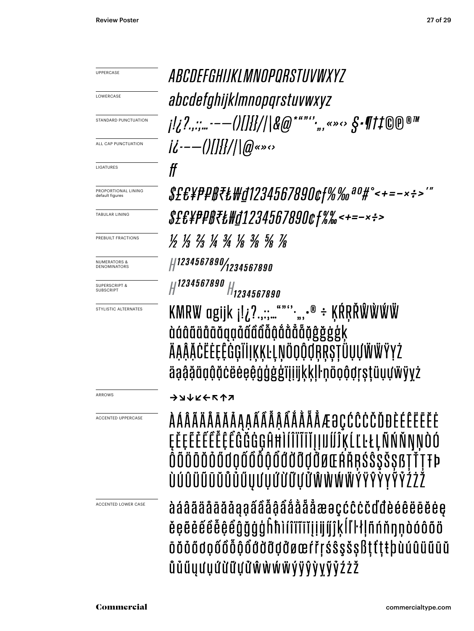UPPERCASE ARCDEFGHIIKI MNOPORSTIIVWXY7 **LOWERCASE** abcdefghijklmnopgrstuvwxyz STANDARD PUNCTUATION  $|U^{--}|/|H|/|Q|$ ALL CAP PUNCTUATION  $f\hspace{-0.1cm}f$ LIGATURES \$£€¥₱₽₿₹₺₩₫1234567890¢f%‰ªº#°<+=-×÷>'" PROPORTIONAL LINING default figures \$£&¥P#B₹&\d1234567890¢f%%<+=-×÷> TABULAR LINING 1/2 1/3 2/3 1/4 3/4 3/4 3/8 1/8 PREBUILT FRACTIONS #1234567890/1234567890 NUMERATORS & **DENOMINATORS** H 1234567890 H 1234567890 SUPERSCRIPT & SUBSCRIPT KMRW ogijk j!¿?.,:;..."""\*,,, $\cdot^{\circ}$  ÷ ĶŔŖŘŴŴŴŴ STYLISTIC ALTERNATES dáâääääääaääääääääääääääää ÄĄĄ̃ĂĊËĖĘÊĠĢĨİĮĶĶĿĻŅÖQQQŖŖŞŢÜŲŲŴŴŸYŻ äąą̃ą̃äąą̃ą̃čëėeeegg̃g̃g̃gïįijikkll·nooõqrstüuuwyyz ARROWS **ファイスティック** *ÀÁÂÄÄÄĀĀĀĄĄAÃÂÃÃÃÅĂÅÅÆƏÇĆĈĊČĎĐÈÉÊËĒĒĒ* ACCENTED UPPERCASEĘĔĘĔĔĔĔĔĔĔĜĞĠĠĢĤĦĬĬĨĨĨĬĮĮIJĺĺĴĶĹĽĿŁĻÑŃŇŊŅÒÓ ŎŎ**ŎŎŎŎŐ**ŎŎŎŎŎŎŎŎŎŎŎŎŎŎŎŎĔŔŘŖŚŜŞŠŞßŢŤŢŦÞ ÙÚÛÜŨŨŬŮŮŰŲƯŲŰŬŨŲぴŴŴŴŴŶŸŶŶYŶŶŹŻŽ àáâãäåāāăaaaâââåâååååæaçccccddèéêëēĕėe ACCENTED LOWER CASE ěęẽė́ểė̃ė̃ę̃ẽĝğġģĥħìíîïĩīĭįḷijíj̃jķĺľŀłļñńňŋņòóôõö ōŏỏődọốôỗộổđờđỡợởøœŕřŗśŝşšşßţťţŧþùúûüũūŭ ŮŮŰŲƯŲỨỪŨŲぴŴŴŴŴÝŸŶVŸŶŹŻŽ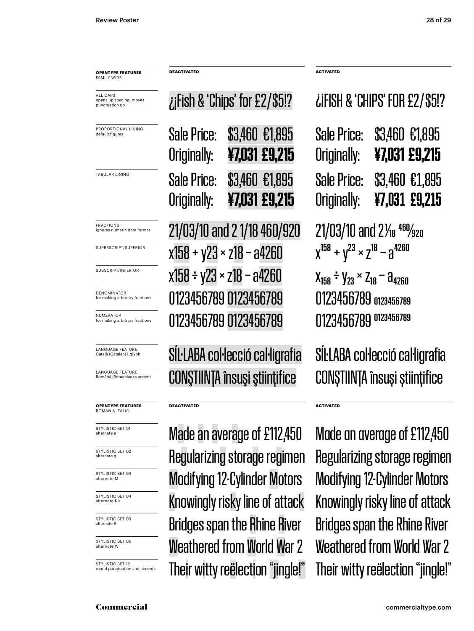PROPORTIONAL LINING default figur ALL CAPS opens up spacing, moves punctuation up **OPENTYPE FEATURES** FAMILY WIDE **DEACTIVATED ACTIVATED** Originally: **¥7,031 £9,215** TABULAR LINING **Sale Price: \$3,460 €1.895** FRACTIONS<br>ignores numeric date format SUPERSCRIPT/SUPERIOR SUBSCRIPT/INFERIOR **NUMERATOR**<br>for making arbitrary fractions DENOMINATOR<br>for making arbitrary fractions LANGUAGE FEATURE<br>Română (Romanian) s accent **OPENTYPE FEATURES** ROMAN & ITALIC **DEACTIVATED ACTIVATED** LANGUAGE FEATURE<br>Català (Catalan) I givph STYLISTIC SET 01

STYLISTIC SET 02

STYLISTIC SET 03<br>alternate M

STYLISTIC SET 04

STYLISTIC SET 05<br>alternate R

STYLISTIC SET 06<br>alternate W

STYLISTIC SET 12<br>round punctuation and accents

|             | iFish & 'Chips' for £2/\$5!? |
|-------------|------------------------------|
|             | Sale Price: \$3,460 €1,895   |
| Arininally: | ¥7031 ¢Q 215                 |

Originally: **¥7,031 £9,215**  $21/03/10$  and 2 1/18 460/920 21/03/10 and 2 $\frac{460}{320}$  $x158 + y23 \times z18 - a4260$   $x^{158} + y^{23} \times z^{18} - a^{4260}$  $x158 \div y23 \times z18 - a4260$   $x_{158} \div y_{23} \times z_{18} - a_{4260}$ 0123456789 0123456789 0123456789 0123456789 for making arbitrary fractions 0123456789 0123456789 0123456789 0123456789

Română (Romanian) s accent CONŞTIINŢA însuşi ştiinţifice CONŞTIINŢA însuşi ştiinţifice SÍL·LABA col·lecció cal·ligrafia SÍL·LABA col·lecció cal·ligrafia

Weathered from World War 2 Weathered from World War 2 Regularizing storage regimen Regularizing storage regimen Modifying 12-Cylinder Motors Modifying 12-Cylinder Motors **alternate KK KNOWING A KNOWING A KNOWING A K** KNOWING A KNOWING A KNOWING A STRIG ATTACK Bridges span the Rhine River Bridges span the Rhine River Their witty reëlection "jingle!" Their witty reëlection "jingle!"

#### ¿¡FISH & 'CHIPS' FOR £2 / \$5!?

| Sale Price:<br>Originally: | \$3,460 €1,895<br>¥7,031 £9,215 |  |
|----------------------------|---------------------------------|--|
| Sale Price:<br>Originally: | \$3,460 €1,895<br>¥7,031 £9,215 |  |

STYLISTIC SET OI**NAGE AN AVETAGE OF £112,450** Made an average of £112,450